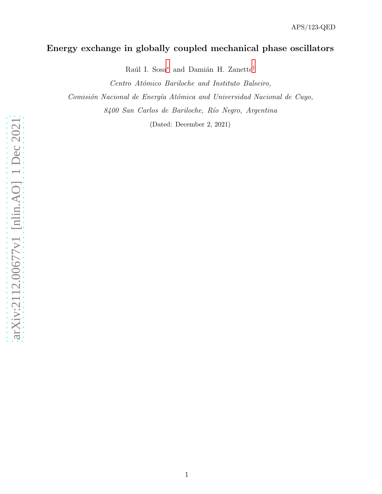## Energy exchange in globally coupled mechanical phase oscillators

Raúl I. Sosa<sup>\*</sup> and Damián H. Zanette<sup>[†](#page-1-1)</sup>

Centro Atómico Bariloche and Instituto Balseiro,

Comisión Nacional de Energía Atómica and Universidad Nacional de Cuyo,

8400 San Carlos de Bariloche, Río Negro, Argentina

(Dated: December 2, 2021)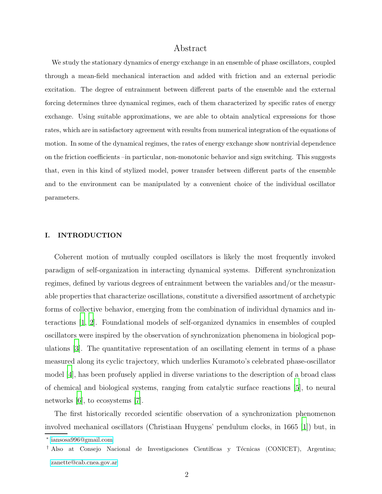## Abstract

We study the stationary dynamics of energy exchange in an ensemble of phase oscillators, coupled through a mean-field mechanical interaction and added with friction and an external periodic excitation. The degree of entrainment between different parts of the ensemble and the external forcing determines three dynamical regimes, each of them characterized by specific rates of energy exchange. Using suitable approximations, we are able to obtain analytical expressions for those rates, which are in satisfactory agreement with results from numerical integration of the equations of motion. In some of the dynamical regimes, the rates of energy exchange show nontrivial dependence on the friction coefficients –in particular, non-monotonic behavior and sign switching. This suggests that, even in this kind of stylized model, power transfer between different parts of the ensemble and to the environment can be manipulated by a convenient choice of the individual oscillator parameters.

#### I. INTRODUCTION

Coherent motion of mutually coupled oscillators is likely the most frequently invoked paradigm of self-organization in interacting dynamical systems. Different synchronization regimes, defined by various degrees of entrainment between the variables and/or the measurable properties that characterize oscillations, constitute a diversified assortment of archetypic forms of collective behavior, emerging from the combination of individual dynamics and interactions [\[1,](#page-17-0) [2\]](#page-17-1). Foundational models of self-organized dynamics in ensembles of coupled oscillators were inspired by the observation of synchronization phenomena in biological populations [\[3\]](#page-17-2). The quantitative representation of an oscillating element in terms of a phase measured along its cyclic trajectory, which underlies Kuramoto's celebrated phase-oscillator model [\[4](#page-17-3)], has been profusely applied in diverse variations to the description of a broad class of chemical and biological systems, ranging from catalytic surface reactions [\[5\]](#page-17-4), to neural networks [\[6](#page-17-5)], to ecosystems [\[7\]](#page-17-6).

The first historically recorded scientific observation of a synchronization phenomenon involved mechanical oscillators (Christiaan Huygens' pendulum clocks, in 1665 [\[1](#page-17-0)]) but, in

<span id="page-1-1"></span><span id="page-1-0"></span>∗ [iansosa996@gmail.com](mailto:iansosa996@gmail.com)

<sup>&</sup>lt;sup>†</sup> Also at Consejo Nacional de Investigaciones Científicas y Técnicas (CONICET), Argentina; [zanette@cab.cnea.gov.ar](mailto:zanette@cab.cnea.gov.ar)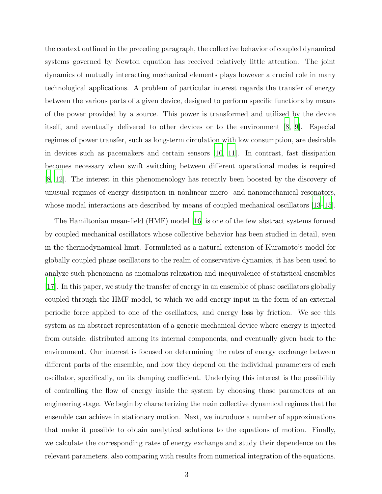the context outlined in the preceding paragraph, the collective behavior of coupled dynamical systems governed by Newton equation has received relatively little attention. The joint dynamics of mutually interacting mechanical elements plays however a crucial role in many technological applications. A problem of particular interest regards the transfer of energy between the various parts of a given device, designed to perform specific functions by means of the power provided by a source. This power is transformed and utilized by the device itself, and eventually delivered to other devices or to the environment [\[8,](#page-18-0) [9\]](#page-18-1). Especial regimes of power transfer, such as long-term circulation with low consumption, are desirable in devices such as pacemakers and certain sensors [\[10](#page-18-2), [11](#page-18-3)]. In contrast, fast dissipation becomes necessary when swift switching between different operational modes is required [\[8](#page-18-0), [12\]](#page-18-4). The interest in this phenomenology has recently been boosted by the discovery of unusual regimes of energy dissipation in nonlinear micro- and nanomechanical resonators, whose modal interactions are described by means of coupled mechanical oscillators [\[13](#page-18-5)[–15\]](#page-18-6).

The Hamiltonian mean-field (HMF) model [\[16\]](#page-18-7) is one of the few abstract systems formed by coupled mechanical oscillators whose collective behavior has been studied in detail, even in the thermodynamical limit. Formulated as a natural extension of Kuramoto's model for globally coupled phase oscillators to the realm of conservative dynamics, it has been used to analyze such phenomena as anomalous relaxation and inequivalence of statistical ensembles [\[17\]](#page-18-8). In this paper, we study the transfer of energy in an ensemble of phase oscillators globally coupled through the HMF model, to which we add energy input in the form of an external periodic force applied to one of the oscillators, and energy loss by friction. We see this system as an abstract representation of a generic mechanical device where energy is injected from outside, distributed among its internal components, and eventually given back to the environment. Our interest is focused on determining the rates of energy exchange between different parts of the ensemble, and how they depend on the individual parameters of each oscillator, specifically, on its damping coefficient. Underlying this interest is the possibility of controlling the flow of energy inside the system by choosing those parameters at an engineering stage. We begin by characterizing the main collective dynamical regimes that the ensemble can achieve in stationary motion. Next, we introduce a number of approximations that make it possible to obtain analytical solutions to the equations of motion. Finally, we calculate the corresponding rates of energy exchange and study their dependence on the relevant parameters, also comparing with results from numerical integration of the equations.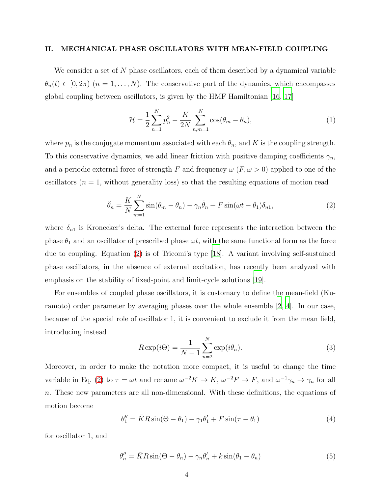#### <span id="page-3-4"></span>II. MECHANICAL PHASE OSCILLATORS WITH MEAN-FIELD COUPLING

We consider a set of N phase oscillators, each of them described by a dynamical variable  $\theta_n(t) \in [0, 2\pi)$   $(n = 1, ..., N)$ . The conservative part of the dynamics, which encompasses global coupling between oscillators, is given by the HMF Hamiltonian [\[16,](#page-18-7) [17\]](#page-18-8)

$$
\mathcal{H} = \frac{1}{2} \sum_{n=1}^{N} p_n^2 - \frac{K}{2N} \sum_{n,m=1}^{N} \cos(\theta_m - \theta_n),
$$
\n(1)

where  $p_n$  is the conjugate momentum associated with each  $\theta_n$ , and K is the coupling strength. To this conservative dynamics, we add linear friction with positive damping coefficients  $\gamma_n$ , and a periodic external force of strength F and frequency  $\omega$  (F,  $\omega > 0$ ) applied to one of the oscillators ( $n = 1$ , without generality loss) so that the resulting equations of motion read

<span id="page-3-0"></span>
$$
\ddot{\theta}_n = \frac{K}{N} \sum_{m=1}^N \sin(\theta_m - \theta_n) - \gamma_n \dot{\theta}_n + F \sin(\omega t - \theta_1) \delta_{n1},\tag{2}
$$

where  $\delta_{n1}$  is Kronecker's delta. The external force represents the interaction between the phase  $\theta_1$  and an oscillator of prescribed phase  $\omega t$ , with the same functional form as the force due to coupling. Equation [\(2\)](#page-3-0) is of Tricomi's type [\[18\]](#page-18-9). A variant involving self-sustained phase oscillators, in the absence of external excitation, has recently been analyzed with emphasis on the stability of fixed-point and limit-cycle solutions [\[19\]](#page-18-10).

For ensembles of coupled phase oscillators, it is customary to define the mean-field (Kuramoto) order parameter by averaging phases over the whole ensemble [\[2](#page-17-1), [4\]](#page-17-3). In our case, because of the special role of oscillator 1, it is convenient to exclude it from the mean field, introducing instead

<span id="page-3-3"></span>
$$
R \exp(i\Theta) = \frac{1}{N-1} \sum_{n=2}^{N} \exp(i\theta_n).
$$
 (3)

Moreover, in order to make the notation more compact, it is useful to change the time variable in Eq. [\(2\)](#page-3-0) to  $\tau = \omega t$  and rename  $\omega^{-2} K \to K$ ,  $\omega^{-2} F \to F$ , and  $\omega^{-1} \gamma_n \to \gamma_n$  for all n. These new parameters are all non-dimensional. With these definitions, the equations of motion become

<span id="page-3-1"></span>
$$
\theta_1'' = \bar{K}R\sin(\Theta - \theta_1) - \gamma_1\theta_1' + F\sin(\tau - \theta_1)
$$
\n(4)

for oscillator 1, and

<span id="page-3-2"></span>
$$
\theta_n'' = \bar{K}R\sin(\Theta - \theta_n) - \gamma_n \theta_n' + k\sin(\theta_1 - \theta_n)
$$
\n(5)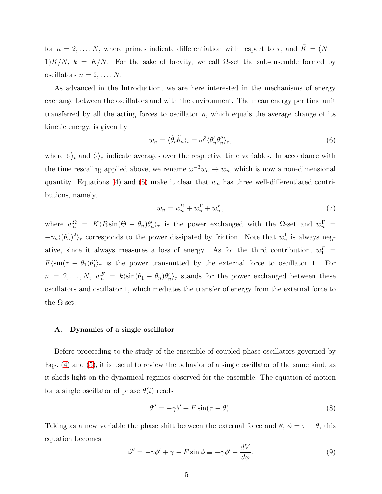for  $n = 2, ..., N$ , where primes indicate differentiation with respect to  $\tau$ , and  $\overline{K} = (N -$ 1)K/N,  $k = K/N$ . For the sake of brevity, we call  $\Omega$ -set the sub-ensemble formed by oscillators  $n = 2, \ldots, N$ .

As advanced in the Introduction, we are here interested in the mechanisms of energy exchange between the oscillators and with the environment. The mean energy per time unit transferred by all the acting forces to oscillator  $n$ , which equals the average change of its kinetic energy, is given by

$$
w_n = \langle \dot{\theta}_n \ddot{\theta}_n \rangle_t = \omega^3 \langle \theta'_n \theta''_n \rangle_\tau,\tag{6}
$$

where  $\langle \cdot \rangle_t$  and  $\langle \cdot \rangle_{\tau}$  indicate averages over the respective time variables. In accordance with the time rescaling applied above, we rename  $\omega^{-3}w_n \to w_n$ , which is now a non-dimensional quantity. Equations [\(4\)](#page-3-1) and [\(5\)](#page-3-2) make it clear that  $w_n$  has three well-differentiated contributions, namely,

<span id="page-4-3"></span>
$$
w_n = w_n^{\Omega} + w_n^{\Gamma} + w_n^F,\tag{7}
$$

where  $w_n^{\Omega} = \bar{K} \langle R \sin(\Theta - \theta_n) \theta_n' \rangle_{\tau}$  is the power exchanged with the  $\Omega$ -set and  $w_n^{\Gamma} =$  $-\gamma_n \langle (\theta'_n)^2 \rangle_\tau$  corresponds to the power dissipated by friction. Note that  $w_n^{\Gamma}$  $\frac{1}{n}$  is always negative, since it always measures a loss of energy. As for the third contribution,  $w_1^F =$  $F\langle\sin(\tau - \theta_1)\theta'_1\rangle_\tau$  is the power transmitted by the external force to oscillator 1. For  $n = 2, \ldots, N, w_n^F = k \langle \sin(\theta_1 - \theta_n) \theta_n' \rangle_\tau$  stands for the power exchanged between these oscillators and oscillator 1, which mediates the transfer of energy from the external force to the  $\Omega$ -set.

#### <span id="page-4-2"></span>A. Dynamics of a single oscillator

Before proceeding to the study of the ensemble of coupled phase oscillators governed by Eqs. [\(4\)](#page-3-1) and [\(5\)](#page-3-2), it is useful to review the behavior of a single oscillator of the same kind, as it sheds light on the dynamical regimes observed for the ensemble. The equation of motion for a single oscillator of phase  $\theta(t)$  reads

<span id="page-4-1"></span>
$$
\theta'' = -\gamma \theta' + F \sin(\tau - \theta). \tag{8}
$$

Taking as a new variable the phase shift between the external force and  $\theta$ ,  $\phi = \tau - \theta$ , this equation becomes  $\ddot{x}$ 

<span id="page-4-0"></span>
$$
\phi'' = -\gamma \phi' + \gamma - F \sin \phi \equiv -\gamma \phi' - \frac{dV}{d\phi}.
$$
\n(9)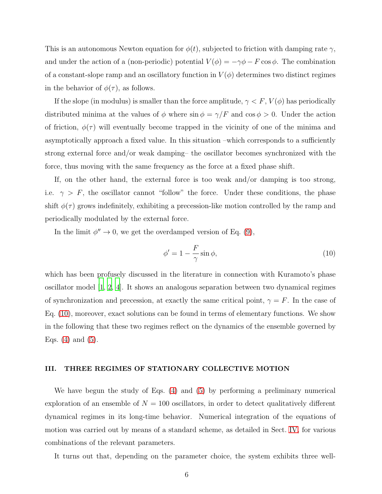This is an autonomous Newton equation for  $\phi(t)$ , subjected to friction with damping rate  $\gamma$ , and under the action of a (non-periodic) potential  $V(\phi) = -\gamma \phi - F \cos \phi$ . The combination of a constant-slope ramp and an oscillatory function in  $V(\phi)$  determines two distinct regimes in the behavior of  $\phi(\tau)$ , as follows.

If the slope (in modulus) is smaller than the force amplitude,  $\gamma < F$ ,  $V(\phi)$  has periodically distributed minima at the values of  $\phi$  where  $\sin \phi = \gamma/F$  and  $\cos \phi > 0$ . Under the action of friction,  $\phi(\tau)$  will eventually become trapped in the vicinity of one of the minima and asymptotically approach a fixed value. In this situation –which corresponds to a sufficiently strong external force and/or weak damping– the oscillator becomes synchronized with the force, thus moving with the same frequency as the force at a fixed phase shift.

If, on the other hand, the external force is too weak and/or damping is too strong, i.e.  $\gamma > F$ , the oscillator cannot "follow" the force. Under these conditions, the phase shift  $\phi(\tau)$  grows indefinitely, exhibiting a precession-like motion controlled by the ramp and periodically modulated by the external force.

In the limit  $\phi'' \to 0$ , we get the overdamped version of Eq. [\(9\)](#page-4-0),

<span id="page-5-0"></span>
$$
\phi' = 1 - \frac{F}{\gamma} \sin \phi,\tag{10}
$$

which has been profusely discussed in the literature in connection with Kuramoto's phase oscillator model [\[1,](#page-17-0) [2,](#page-17-1) [4\]](#page-17-3). It shows an analogous separation between two dynamical regimes of synchronization and precession, at exactly the same critical point,  $\gamma = F$ . In the case of Eq. [\(10\)](#page-5-0), moreover, exact solutions can be found in terms of elementary functions. We show in the following that these two regimes reflect on the dynamics of the ensemble governed by Eqs.  $(4)$  and  $(5)$ .

### <span id="page-5-1"></span>III. THREE REGIMES OF STATIONARY COLLECTIVE MOTION

We have begun the study of Eqs. [\(4\)](#page-3-1) and [\(5\)](#page-3-2) by performing a preliminary numerical exploration of an ensemble of  $N = 100$  oscillators, in order to detect qualitatively different dynamical regimes in its long-time behavior. Numerical integration of the equations of motion was carried out by means of a standard scheme, as detailed in Sect. [IV,](#page-12-0) for various combinations of the relevant parameters.

It turns out that, depending on the parameter choice, the system exhibits three well-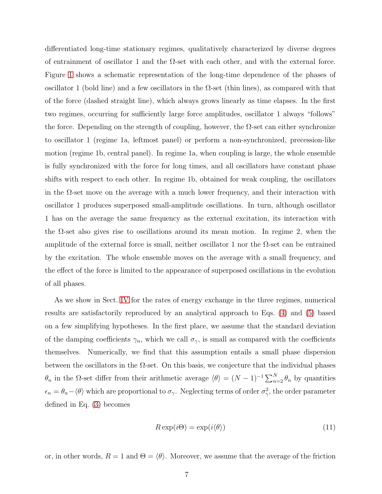differentiated long-time stationary regimes, qualitatively characterized by diverse degrees of entrainment of oscillator 1 and the  $\Omega$ -set with each other, and with the external force. Figure [1](#page-7-0) shows a schematic representation of the long-time dependence of the phases of oscillator 1 (bold line) and a few oscillators in the  $\Omega$ -set (thin lines), as compared with that of the force (dashed straight line), which always grows linearly as time elapses. In the first two regimes, occurring for sufficiently large force amplitudes, oscillator 1 always "follows" the force. Depending on the strength of coupling, however, the  $\Omega$ -set can either synchronize to oscillator 1 (regime 1a, leftmost panel) or perform a non-synchronized, precession-like motion (regime 1b, central panel). In regime 1a, when coupling is large, the whole ensemble is fully synchronized with the force for long times, and all oscillators have constant phase shifts with respect to each other. In regime 1b, obtained for weak coupling, the oscillators in the  $\Omega$ -set move on the average with a much lower frequency, and their interaction with oscillator 1 produces superposed small-amplitude oscillations. In turn, although oscillator 1 has on the average the same frequency as the external excitation, its interaction with the  $\Omega$ -set also gives rise to oscillations around its mean motion. In regime 2, when the amplitude of the external force is small, neither oscillator 1 nor the  $\Omega$ -set can be entrained by the excitation. The whole ensemble moves on the average with a small frequency, and the effect of the force is limited to the appearance of superposed oscillations in the evolution of all phases.

As we show in Sect. [IV](#page-12-0) for the rates of energy exchange in the three regimes, numerical results are satisfactorily reproduced by an analytical approach to Eqs. [\(4\)](#page-3-1) and [\(5\)](#page-3-2) based on a few simplifying hypotheses. In the first place, we assume that the standard deviation of the damping coefficients  $\gamma_n$ , which we call  $\sigma_\gamma$ , is small as compared with the coefficients themselves. Numerically, we find that this assumption entails a small phase dispersion between the oscillators in the  $\Omega$ -set. On this basis, we conjecture that the individual phases  $θ_n$  in the Ω-set differ from their arithmetic average  $\langle θ \rangle = (N-1)^{-1} \sum_{n=2}^{N} θ_n$  by quantities  $\epsilon_n = \theta_n - \langle \theta \rangle$  which are proportional to  $\sigma_\gamma$ . Neglecting terms of order  $\sigma_\gamma^2$  $\frac{2}{\gamma}$ , the order parameter defined in Eq. [\(3\)](#page-3-3) becomes

$$
R \exp(i\Theta) = \exp(i\langle \theta \rangle) \tag{11}
$$

or, in other words,  $R = 1$  and  $\Theta = \langle \theta \rangle$ . Moreover, we assume that the average of the friction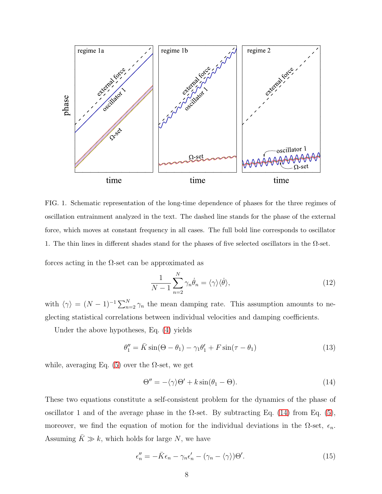

<span id="page-7-0"></span>FIG. 1. Schematic representation of the long-time dependence of phases for the three regimes of oscillation entrainment analyzed in the text. The dashed line stands for the phase of the external force, which moves at constant frequency in all cases. The full bold line corresponds to oscillator 1. The thin lines in different shades stand for the phases of five selected oscillators in the  $\Omega$ -set.

forces acting in the  $\Omega$ -set can be approximated as

$$
\frac{1}{N-1} \sum_{n=2}^{N} \gamma_n \dot{\theta}_n = \langle \gamma \rangle \langle \dot{\theta} \rangle, \tag{12}
$$

with  $\langle \gamma \rangle = (N-1)^{-1} \sum_{n=2}^{N} \gamma_n$  the mean damping rate. This assumption amounts to neglecting statistical correlations between individual velocities and damping coefficients.

Under the above hypotheses, Eq. [\(4\)](#page-3-1) yields

<span id="page-7-2"></span>
$$
\theta_1'' = \bar{K}\sin(\Theta - \theta_1) - \gamma_1 \theta_1' + F\sin(\tau - \theta_1) \tag{13}
$$

while, averaging Eq. [\(5\)](#page-3-2) over the  $\Omega$ -set, we get

<span id="page-7-1"></span>
$$
\Theta'' = -\langle \gamma \rangle \Theta' + k \sin(\theta_1 - \Theta). \tag{14}
$$

These two equations constitute a self-consistent problem for the dynamics of the phase of oscillator 1 and of the average phase in the  $\Omega$ -set. By subtracting Eq. [\(14\)](#page-7-1) from Eq. [\(5\)](#page-3-2), moreover, we find the equation of motion for the individual deviations in the  $\Omega$ -set,  $\epsilon_n$ . Assuming  $\bar{K} \gg k$ , which holds for large N, we have

<span id="page-7-3"></span>
$$
\epsilon''_n = -\bar{K}\epsilon_n - \gamma_n \epsilon'_n - (\gamma_n - \langle \gamma \rangle)\Theta'. \tag{15}
$$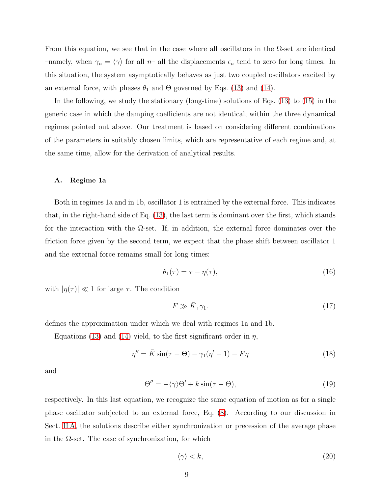From this equation, we see that in the case where all oscillators in the  $\Omega$ -set are identical –namely, when  $\gamma_n = \langle \gamma \rangle$  for all n– all the displacements  $\epsilon_n$  tend to zero for long times. In this situation, the system asymptotically behaves as just two coupled oscillators excited by an external force, with phases  $\theta_1$  and  $\Theta$  governed by Eqs. [\(13\)](#page-7-2) and [\(14\)](#page-7-1).

In the following, we study the stationary (long-time) solutions of Eqs. [\(13\)](#page-7-2) to [\(15\)](#page-7-3) in the generic case in which the damping coefficients are not identical, within the three dynamical regimes pointed out above. Our treatment is based on considering different combinations of the parameters in suitably chosen limits, which are representative of each regime and, at the same time, allow for the derivation of analytical results.

#### A. Regime 1a

Both in regimes 1a and in 1b, oscillator 1 is entrained by the external force. This indicates that, in the right-hand side of Eq. [\(13\)](#page-7-2), the last term is dominant over the first, which stands for the interaction with the  $\Omega$ -set. If, in addition, the external force dominates over the friction force given by the second term, we expect that the phase shift between oscillator 1 and the external force remains small for long times:

<span id="page-8-4"></span>
$$
\theta_1(\tau) = \tau - \eta(\tau),\tag{16}
$$

with  $|\eta(\tau)| \ll 1$  for large  $\tau$ . The condition

<span id="page-8-3"></span>
$$
F \gg \bar{K}, \gamma_1. \tag{17}
$$

defines the approximation under which we deal with regimes 1a and 1b.

Equations [\(13\)](#page-7-2) and [\(14\)](#page-7-1) yield, to the first significant order in  $\eta$ ,

<span id="page-8-2"></span>
$$
\eta'' = \bar{K}\sin(\tau - \Theta) - \gamma_1(\eta' - 1) - F\eta \tag{18}
$$

and

<span id="page-8-1"></span>
$$
\Theta'' = -\langle \gamma \rangle \Theta' + k \sin(\tau - \Theta),\tag{19}
$$

respectively. In this last equation, we recognize the same equation of motion as for a single phase oscillator subjected to an external force, Eq. [\(8\)](#page-4-1). According to our discussion in Sect. [II A,](#page-4-2) the solutions describe either synchronization or precession of the average phase in the  $\Omega$ -set. The case of synchronization, for which

<span id="page-8-0"></span>
$$
\langle \gamma \rangle < k,\tag{20}
$$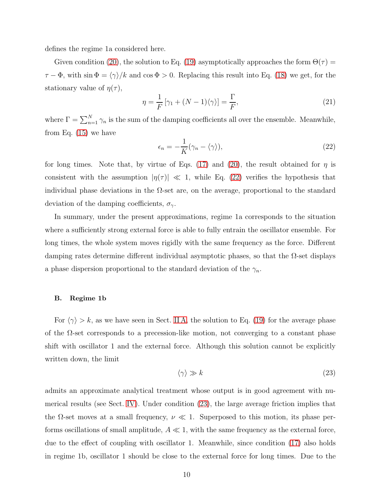defines the regime 1a considered here.

Given condition [\(20\)](#page-8-0), the solution to Eq. [\(19\)](#page-8-1) asymptotically approaches the form  $\Theta(\tau)$  =  $\tau - \Phi$ , with sin  $\Phi = \langle \gamma \rangle / k$  and cos  $\Phi > 0$ . Replacing this result into Eq. [\(18\)](#page-8-2) we get, for the stationary value of  $\eta(\tau)$ ,

<span id="page-9-2"></span>
$$
\eta = \frac{1}{F} \left[ \gamma_1 + (N - 1)\langle \gamma \rangle \right] = \frac{\Gamma}{F},\tag{21}
$$

where  $\Gamma = \sum_{n=1}^{N} \gamma_n$  is the sum of the damping coefficients all over the ensemble. Meanwhile, from Eq. [\(15\)](#page-7-3) we have

<span id="page-9-0"></span>
$$
\epsilon_n = -\frac{1}{K} (\gamma_n - \langle \gamma \rangle), \tag{22}
$$

for long times. Note that, by virtue of Eqs. [\(17\)](#page-8-3) and [\(20\)](#page-8-0), the result obtained for  $\eta$  is consistent with the assumption  $|\eta(\tau)| \ll 1$ , while Eq. [\(22\)](#page-9-0) verifies the hypothesis that individual phase deviations in the  $\Omega$ -set are, on the average, proportional to the standard deviation of the damping coefficients,  $\sigma_{\gamma}$ .

In summary, under the present approximations, regime 1a corresponds to the situation where a sufficiently strong external force is able to fully entrain the oscillator ensemble. For long times, the whole system moves rigidly with the same frequency as the force. Different damping rates determine different individual asymptotic phases, so that the Ω-set displays a phase dispersion proportional to the standard deviation of the  $\gamma_n$ .

#### B. Regime 1b

For  $\langle \gamma \rangle > k$ , as we have seen in Sect. [II A,](#page-4-2) the solution to Eq. [\(19\)](#page-8-1) for the average phase of the  $\Omega$ -set corresponds to a precession-like motion, not converging to a constant phase shift with oscillator 1 and the external force. Although this solution cannot be explicitly written down, the limit

<span id="page-9-1"></span>
$$
\langle \gamma \rangle \gg k \tag{23}
$$

admits an approximate analytical treatment whose output is in good agreement with numerical results (see Sect. [IV\)](#page-12-0). Under condition [\(23\)](#page-9-1), the large average friction implies that the  $\Omega$ -set moves at a small frequency,  $\nu \ll 1$ . Superposed to this motion, its phase performs oscillations of small amplitude,  $A \ll 1$ , with the same frequency as the external force, due to the effect of coupling with oscillator 1. Meanwhile, since condition [\(17\)](#page-8-3) also holds in regime 1b, oscillator 1 should be close to the external force for long times. Due to the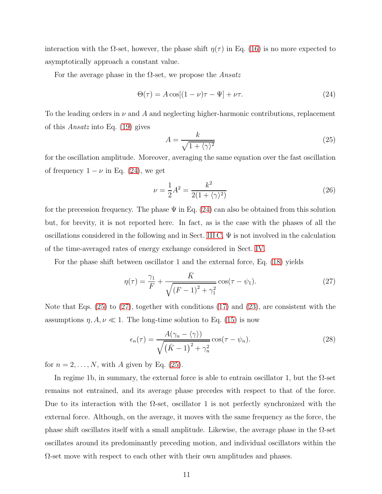interaction with the  $\Omega$ -set, however, the phase shift  $\eta(\tau)$  in Eq. [\(16\)](#page-8-4) is no more expected to asymptotically approach a constant value.

For the average phase in the  $\Omega$ -set, we propose the *Ansatz* 

<span id="page-10-0"></span>
$$
\Theta(\tau) = A \cos[(1 - \nu)\tau - \Psi] + \nu\tau. \tag{24}
$$

To the leading orders in  $\nu$  and  $A$  and neglecting higher-harmonic contributions, replacement of this Ansatz into Eq. [\(19\)](#page-8-1) gives

<span id="page-10-1"></span>
$$
A = \frac{k}{\sqrt{1 + \langle \gamma \rangle^2}}\tag{25}
$$

for the oscillation amplitude. Moreover, averaging the same equation over the fast oscillation of frequency  $1 - \nu$  in Eq. [\(24\)](#page-10-0), we get

$$
\nu = \frac{1}{2}A^2 = \frac{k^2}{2(1 + \langle \gamma \rangle^2)}
$$
\n(26)

for the precession frequency. The phase  $\Psi$  in Eq. [\(24\)](#page-10-0) can also be obtained from this solution but, for brevity, it is not reported here. In fact, as is the case with the phases of all the oscillations considered in the following and in Sect. [III C,](#page-11-0)  $\Psi$  is not involved in the calculation of the time-averaged rates of energy exchange considered in Sect. [IV.](#page-12-0)

For the phase shift between oscillator 1 and the external force, Eq. [\(18\)](#page-8-2) yields

<span id="page-10-2"></span>
$$
\eta(\tau) = \frac{\gamma_1}{F} + \frac{\bar{K}}{\sqrt{(F-1)^2 + \gamma_1^2}} \cos(\tau - \psi_1).
$$
 (27)

Note that Eqs. [\(25\)](#page-10-1) to [\(27\)](#page-10-2), together with conditions [\(17\)](#page-8-3) and [\(23\)](#page-9-1), are consistent with the assumptions  $\eta$ ,  $A, \nu \ll 1$ . The long-time solution to Eq. [\(15\)](#page-7-3) is now

<span id="page-10-3"></span>
$$
\epsilon_n(\tau) = \frac{A(\gamma_n - \langle \gamma \rangle)}{\sqrt{(\bar{K} - 1)^2 + \gamma_n^2}} \cos(\tau - \psi_n).
$$
 (28)

for  $n = 2, \ldots, N$ , with A given by Eq. [\(25\)](#page-10-1).

In regime 1b, in summary, the external force is able to entrain oscillator 1, but the  $\Omega$ -set remains not entrained, and its average phase precedes with respect to that of the force. Due to its interaction with the  $\Omega$ -set, oscillator 1 is not perfectly synchronized with the external force. Although, on the average, it moves with the same frequency as the force, the phase shift oscillates itself with a small amplitude. Likewise, the average phase in the  $\Omega$ -set oscillates around its predominantly preceding motion, and individual oscillators within the  $\Omega$ -set move with respect to each other with their own amplitudes and phases.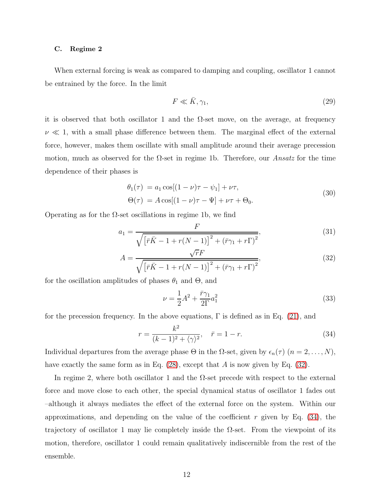#### <span id="page-11-0"></span>C. Regime 2

When external forcing is weak as compared to damping and coupling, oscillator 1 cannot be entrained by the force. In the limit

$$
F \ll \bar{K}, \gamma_1,\tag{29}
$$

it is observed that both oscillator 1 and the  $\Omega$ -set move, on the average, at frequency  $\nu \ll 1$ , with a small phase difference between them. The marginal effect of the external force, however, makes them oscillate with small amplitude around their average precession motion, much as observed for the  $\Omega$ -set in regime 1b. Therefore, our *Ansatz* for the time dependence of their phases is

$$
\theta_1(\tau) = a_1 \cos[(1 - \nu)\tau - \psi_1] + \nu\tau,
$$
  
\n
$$
\Theta(\tau) = A \cos[(1 - \nu)\tau - \Psi] + \nu\tau + \Theta_0.
$$
\n(30)

Operating as for the  $\Omega$ -set oscillations in regime 1b, we find

<span id="page-11-1"></span>
$$
a_1 = \frac{F}{\sqrt{\left[\bar{r}\bar{K} - 1 + r(N-1)\right]^2 + \left(\bar{r}\gamma_1 + r\Gamma\right)^2}},\tag{31}
$$

$$
A = \frac{\sqrt{rF}}{\sqrt{\left[\bar{r}\bar{K} - 1 + r(N-1)\right]^2 + \left(\bar{r}\gamma_1 + r\Gamma\right)^2}},\tag{32}
$$

for the oscillation amplitudes of phases  $\theta_1$  and  $\Theta$ , and

<span id="page-11-3"></span>
$$
\nu = \frac{1}{2}A^2 + \frac{\bar{r}\gamma_1}{2\Gamma}a_1^2\tag{33}
$$

for the precession frequency. In the above equations,  $\Gamma$  is defined as in Eq. [\(21\)](#page-9-2), and

<span id="page-11-2"></span>
$$
r = \frac{k^2}{(k-1)^2 + \langle \gamma \rangle^2}, \quad \bar{r} = 1 - r.
$$
 (34)

Individual departures from the average phase  $\Theta$  in the  $\Omega$ -set, given by  $\epsilon_n(\tau)$   $(n = 2, \ldots, N)$ , have exactly the same form as in Eq.  $(28)$ , except that A is now given by Eq.  $(32)$ .

In regime 2, where both oscillator 1 and the  $\Omega$ -set precede with respect to the external force and move close to each other, the special dynamical status of oscillator 1 fades out –although it always mediates the effect of the external force on the system. Within our approximations, and depending on the value of the coefficient r given by Eq.  $(34)$ , the trajectory of oscillator 1 may lie completely inside the  $\Omega$ -set. From the viewpoint of its motion, therefore, oscillator 1 could remain qualitatively indiscernible from the rest of the ensemble.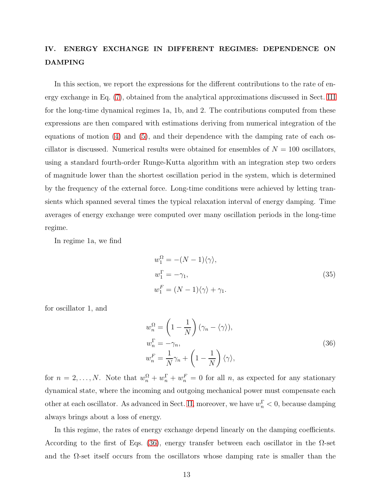# <span id="page-12-0"></span>IV. ENERGY EXCHANGE IN DIFFERENT REGIMES: DEPENDENCE ON DAMPING

In this section, we report the expressions for the different contributions to the rate of energy exchange in Eq. [\(7\)](#page-4-3), obtained from the analytical approximations discussed in Sect. [III](#page-5-1) for the long-time dynamical regimes 1a, 1b, and 2. The contributions computed from these expressions are then compared with estimations deriving from numerical integration of the equations of motion [\(4\)](#page-3-1) and [\(5\)](#page-3-2), and their dependence with the damping rate of each oscillator is discussed. Numerical results were obtained for ensembles of  $N = 100$  oscillators, using a standard fourth-order Runge-Kutta algorithm with an integration step two orders of magnitude lower than the shortest oscillation period in the system, which is determined by the frequency of the external force. Long-time conditions were achieved by letting transients which spanned several times the typical relaxation interval of energy damping. Time averages of energy exchange were computed over many oscillation periods in the long-time regime.

In regime 1a, we find

<span id="page-12-2"></span>
$$
w_1^{\Omega} = -(N-1)\langle \gamma \rangle,
$$
  
\n
$$
w_1^{\Gamma} = -\gamma_1,
$$
  
\n
$$
w_1^F = (N-1)\langle \gamma \rangle + \gamma_1.
$$
\n(35)

for oscillator 1, and

<span id="page-12-1"></span>
$$
w_n^{\Omega} = \left(1 - \frac{1}{N}\right) (\gamma_n - \langle \gamma \rangle),
$$
  
\n
$$
w_n^{\Gamma} = -\gamma_n,
$$
  
\n
$$
w_n^F = \frac{1}{N} \gamma_n + \left(1 - \frac{1}{N}\right) \langle \gamma \rangle,
$$
\n(36)

for  $n = 2, ..., N$ . Note that  $w_n^{\Omega} + w_n^{\Gamma} + w_n^F = 0$  for all n, as expected for any stationary dynamical state, where the incoming and outgoing mechanical power must compensate each other at each oscillator. As advanced in Sect. [II,](#page-3-4) moreover, we have  $w_n^{\Gamma} < 0$ , because damping always brings about a loss of energy.

In this regime, the rates of energy exchange depend linearly on the damping coefficients. According to the first of Eqs. [\(36\)](#page-12-1), energy transfer between each oscillator in the  $\Omega$ -set and the  $\Omega$ -set itself occurs from the oscillators whose damping rate is smaller than the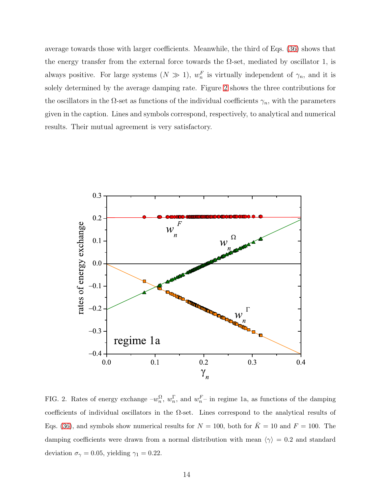average towards those with larger coefficients. Meanwhile, the third of Eqs. [\(36\)](#page-12-1) shows that the energy transfer from the external force towards the  $\Omega$ -set, mediated by oscillator 1, is always positive. For large systems  $(N \gg 1)$ ,  $w_n^F$  is virtually independent of  $\gamma_n$ , and it is solely determined by the average damping rate. Figure [2](#page-13-0) shows the three contributions for the oscillators in the  $\Omega$ -set as functions of the individual coefficients  $\gamma_n$ , with the parameters given in the caption. Lines and symbols correspond, respectively, to analytical and numerical results. Their mutual agreement is very satisfactory.



<span id="page-13-0"></span>FIG. 2. Rates of energy exchange  $-w_n^{\Omega}$  $_n^{\Omega}, w_n^{\Gamma}$  $_n^{\Gamma}$ , and  $w_n^F$  – in regime 1a, as functions of the damping coefficients of individual oscillators in the  $\Omega$ -set. Lines correspond to the analytical results of Eqs. [\(36\)](#page-12-1), and symbols show numerical results for  $N = 100$ , both for  $\overline{K} = 10$  and  $F = 100$ . The damping coefficients were drawn from a normal distribution with mean  $\langle \gamma \rangle = 0.2$  and standard deviation  $\sigma_{\gamma} = 0.05$ , yielding  $\gamma_1 = 0.22$ .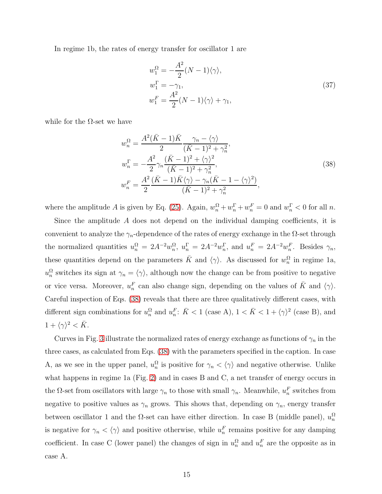In regime 1b, the rates of energy transfer for oscillator 1 are

<span id="page-14-1"></span>
$$
w_1^{\Omega} = -\frac{A^2}{2} (N - 1) \langle \gamma \rangle,
$$
  
\n
$$
w_1^{\Gamma} = -\gamma_1,
$$
  
\n
$$
w_1^F = \frac{A^2}{2} (N - 1) \langle \gamma \rangle + \gamma_1,
$$
\n(37)

while for the  $\Omega$ -set we have

<span id="page-14-0"></span>
$$
w_n^{\Omega} = \frac{A^2(\bar{K} - 1)\bar{K}}{2} \frac{\gamma_n - \langle \gamma \rangle}{(\bar{K} - 1)^2 + \gamma_n^2},
$$
  
\n
$$
w_n^{\Gamma} = -\frac{A^2}{2} \gamma_n \frac{(\bar{K} - 1)^2 + \langle \gamma \rangle^2}{(\bar{K} - 1)^2 + \gamma_n^2},
$$
  
\n
$$
w_n^F = \frac{A^2}{2} \frac{(\bar{K} - 1)\bar{K}\langle \gamma \rangle - \gamma_n(\bar{K} - 1 - \langle \gamma \rangle^2)}{(\bar{K} - 1)^2 + \gamma_n^2},
$$
\n(38)

where the amplitude A is given by Eq. [\(25\)](#page-10-1). Again,  $w_n^{\Omega} + w_n^{\Gamma} + w_n^F = 0$  and  $w_n^{\Gamma} < 0$  for all n.

Since the amplitude  $A$  does not depend on the individual damping coefficients, it is convenient to analyze the  $\gamma_n$ -dependence of the rates of energy exchange in the  $\Omega$ -set through the normalized quantities  $u_n^{\Omega} = 2A^{-2}w_n^{\Omega}$  $_n^{\Omega}, u_n^{\Gamma} = 2A^{-2}w_n^{\Gamma}$  $_n^{\Gamma}$ , and  $u_n^F = 2A^{-2}w_n^F$ . Besides  $\gamma_n$ , these quantities depend on the parameters  $\bar{K}$  and  $\langle \gamma \rangle$ . As discussed for  $w_n^{\Omega}$  $\frac{\Omega}{n}$  in regime 1a,  $u_n^{\Omega}$  $\frac{\Omega}{n}$  switches its sign at  $\gamma_n = \langle \gamma \rangle$ , although now the change can be from positive to negative or vice versa. Moreover,  $u_n^F$  can also change sign, depending on the values of  $\bar{K}$  and  $\langle \gamma \rangle$ . Careful inspection of Eqs. [\(38\)](#page-14-0) reveals that there are three qualitatively different cases, with different sign combinations for  $u_n^{\Omega}$  $_n^{\Omega}$  and  $u_n^F$ :  $\bar{K}$  < 1 (case A),  $1 < \bar{K} < 1 + \langle \gamma \rangle^2$  (case B), and  $1 + \langle \gamma \rangle^2 < \bar{K}$ .

Curves in Fig. [3](#page-19-0) illustrate the normalized rates of energy exchange as functions of  $\gamma_n$  in the three cases, as calculated from Eqs. [\(38\)](#page-14-0) with the parameters specified in the caption. In case A, as we see in the upper panel,  $u_n^{\Omega}$  $\frac{\Omega}{n}$  is positive for  $\gamma_n < \langle \gamma \rangle$  and negative otherwise. Unlike what happens in regime 1a (Fig. [2\)](#page-13-0) and in cases B and C, a net transfer of energy occurs in the  $\Omega$ -set from oscillators with large  $\gamma_n$  to those with small  $\gamma_n$ . Meanwhile,  $u_n^F$  switches from negative to positive values as  $\gamma_n$  grows. This shows that, depending on  $\gamma_n$ , energy transfer between oscillator 1 and the  $\Omega$ -set can have either direction. In case B (middle panel),  $u_n^{\Omega}$ n is negative for  $\gamma_n < \langle \gamma \rangle$  and positive otherwise, while  $u_n^F$  remains positive for any damping coefficient. In case C (lower panel) the changes of sign in  $u_n^{\Omega}$  and  $u_n^F$  are the opposite as in case A.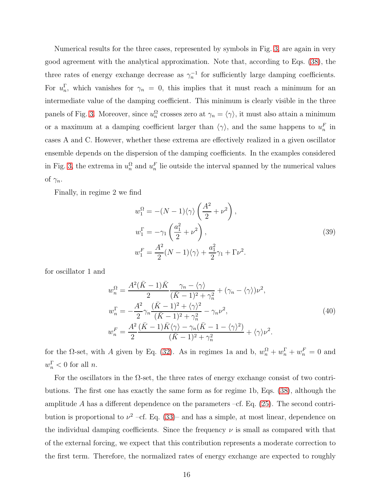Numerical results for the three cases, represented by symbols in Fig. [3,](#page-19-0) are again in very good agreement with the analytical approximation. Note that, according to Eqs. [\(38\)](#page-14-0), the three rates of energy exchange decrease as  $\gamma_n^{-1}$  for sufficiently large damping coefficients. For  $u_n^{\Gamma}$  $_n^{\prime}$ , which vanishes for  $\gamma_n = 0$ , this implies that it must reach a minimum for an intermediate value of the damping coefficient. This minimum is clearly visible in the three panels of Fig. [3.](#page-19-0) Moreover, since  $u_n^{\Omega}$  $\frac{\Omega}{n}$  crosses zero at  $\gamma_n = \langle \gamma \rangle$ , it must also attain a minimum or a maximum at a damping coefficient larger than  $\langle \gamma \rangle$ , and the same happens to  $u_n^F$  in cases A and C. However, whether these extrema are effectively realized in a given oscillator ensemble depends on the dispersion of the damping coefficients. In the examples considered in Fig. [3,](#page-19-0) the extrema in  $u_n^{\Omega}$  $\frac{\Omega}{n}$  and  $u_n^F$  lie outside the interval spanned by the numerical values of  $\gamma_n$ .

Finally, in regime 2 we find

<span id="page-15-0"></span>
$$
w_1^{\Omega} = -(N-1)\langle \gamma \rangle \left(\frac{A^2}{2} + \nu^2\right),
$$
  
\n
$$
w_1^{\Gamma} = -\gamma_1 \left(\frac{a_1^2}{2} + \nu^2\right),
$$
  
\n
$$
w_1^F = \frac{A^2}{2}(N-1)\langle \gamma \rangle + \frac{a_1^2}{2}\gamma_1 + \Gamma \nu^2.
$$
\n(39)

for oscillator 1 and

$$
w_n^{\Omega} = \frac{A^2(\bar{K}-1)\bar{K}}{2} \frac{\gamma_n - \langle \gamma \rangle}{(\bar{K}-1)^2 + \gamma_n^2} + (\gamma_n - \langle \gamma \rangle) \nu^2,
$$
  
\n
$$
w_n^{\Gamma} = -\frac{A^2}{2} \gamma_n \frac{(\bar{K}-1)^2 + \langle \gamma \rangle^2}{(\bar{K}-1)^2 + \gamma_n^2} - \gamma_n \nu^2,
$$
  
\n
$$
w_n^{\Gamma} = \frac{A^2}{2} \frac{(\bar{K}-1)\bar{K}\langle \gamma \rangle - \gamma_n(\bar{K}-1-\langle \gamma \rangle^2)}{(\bar{K}-1)^2 + \gamma_n^2} + \langle \gamma \rangle \nu^2.
$$
\n(40)

for the  $\Omega$ -set, with A given by Eq. [\(32\)](#page-11-1). As in regimes 1a and b,  $w_n^{\Omega} + w_n^{\Gamma} + w_n^{\Gamma} = 0$  and  $w_n^{\Gamma} < 0$  for all *n*.

For the oscillators in the  $\Omega$ -set, the three rates of energy exchange consist of two contributions. The first one has exactly the same form as for regime 1b, Eqs. [\(38\)](#page-14-0), although the amplitude A has a different dependence on the parameters –cf. Eq.  $(25)$ . The second contribution is proportional to  $\nu^2$  –cf. Eq. [\(33\)](#page-11-3)– and has a simple, at most linear, dependence on the individual damping coefficients. Since the frequency  $\nu$  is small as compared with that of the external forcing, we expect that this contribution represents a moderate correction to the first term. Therefore, the normalized rates of energy exchange are expected to roughly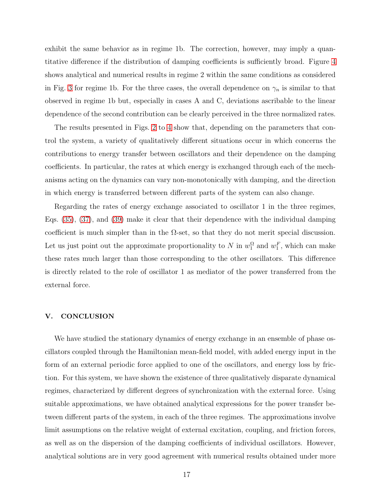exhibit the same behavior as in regime 1b. The correction, however, may imply a quantitative difference if the distribution of damping coefficients is sufficiently broad. Figure [4](#page-20-0) shows analytical and numerical results in regime 2 within the same conditions as considered in Fig. [3](#page-19-0) for regime 1b. For the three cases, the overall dependence on  $\gamma_n$  is similar to that observed in regime 1b but, especially in cases A and C, deviations ascribable to the linear dependence of the second contribution can be clearly perceived in the three normalized rates.

The results presented in Figs. [2](#page-13-0) to [4](#page-20-0) show that, depending on the parameters that control the system, a variety of qualitatively different situations occur in which concerns the contributions to energy transfer between oscillators and their dependence on the damping coefficients. In particular, the rates at which energy is exchanged through each of the mechanisms acting on the dynamics can vary non-monotonically with damping, and the direction in which energy is transferred between different parts of the system can also change.

Regarding the rates of energy exchange associated to oscillator 1 in the three regimes, Eqs. [\(35\)](#page-12-2), [\(37\)](#page-14-1), and [\(39\)](#page-15-0) make it clear that their dependence with the individual damping coefficient is much simpler than in the  $\Omega$ -set, so that they do not merit special discussion. Let us just point out the approximate proportionality to N in  $w_1^{\Omega}$  and  $w_1^F$ , which can make these rates much larger than those corresponding to the other oscillators. This difference is directly related to the role of oscillator 1 as mediator of the power transferred from the external force.

#### V. CONCLUSION

We have studied the stationary dynamics of energy exchange in an ensemble of phase oscillators coupled through the Hamiltonian mean-field model, with added energy input in the form of an external periodic force applied to one of the oscillators, and energy loss by friction. For this system, we have shown the existence of three qualitatively disparate dynamical regimes, characterized by different degrees of synchronization with the external force. Using suitable approximations, we have obtained analytical expressions for the power transfer between different parts of the system, in each of the three regimes. The approximations involve limit assumptions on the relative weight of external excitation, coupling, and friction forces, as well as on the dispersion of the damping coefficients of individual oscillators. However, analytical solutions are in very good agreement with numerical results obtained under more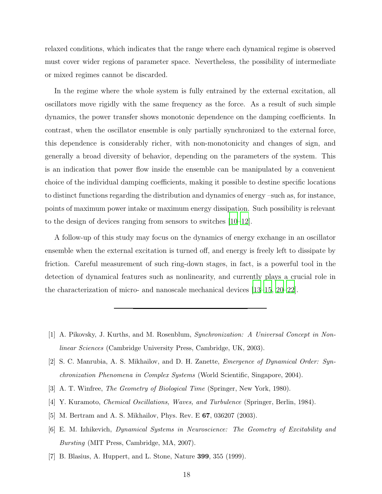relaxed conditions, which indicates that the range where each dynamical regime is observed must cover wider regions of parameter space. Nevertheless, the possibility of intermediate or mixed regimes cannot be discarded.

In the regime where the whole system is fully entrained by the external excitation, all oscillators move rigidly with the same frequency as the force. As a result of such simple dynamics, the power transfer shows monotonic dependence on the damping coefficients. In contrast, when the oscillator ensemble is only partially synchronized to the external force, this dependence is considerably richer, with non-monotonicity and changes of sign, and generally a broad diversity of behavior, depending on the parameters of the system. This is an indication that power flow inside the ensemble can be manipulated by a convenient choice of the individual damping coefficients, making it possible to destine specific locations to distinct functions regarding the distribution and dynamics of energy –such as, for instance, points of maximum power intake or maximum energy dissipation. Such possibility is relevant to the design of devices ranging from sensors to switches [\[10](#page-18-2)[–12](#page-18-4)].

A follow-up of this study may focus on the dynamics of energy exchange in an oscillator ensemble when the external excitation is turned off, and energy is freely left to dissipate by friction. Careful measurement of such ring-down stages, in fact, is a powerful tool in the detection of dynamical features such as nonlinearity, and currently plays a crucial role in the characterization of micro- and nanoscale mechanical devices [\[13](#page-18-5)[–15,](#page-18-6) [20](#page-18-11)[–22](#page-18-12)].

- <span id="page-17-0"></span>[1] A. Pikovsky, J. Kurths, and M. Rosenblum, Synchronization: A Universal Concept in Nonlinear Sciences (Cambridge University Press, Cambridge, UK, 2003).
- <span id="page-17-1"></span>[2] S. C. Manrubia, A. S. Mikhailov, and D. H. Zanette, Emergence of Dynamical Order: Synchronization Phenomena in Complex Systems (World Scientific, Singapore, 2004).
- <span id="page-17-2"></span>[3] A. T. Winfree, The Geometry of Biological Time (Springer, New York, 1980).
- <span id="page-17-3"></span>[4] Y. Kuramoto, Chemical Oscillations, Waves, and Turbulence (Springer, Berlin, 1984).
- <span id="page-17-4"></span>[5] M. Bertram and A. S. Mikhailov, Phys. Rev. E 67, 036207 (2003).
- <span id="page-17-5"></span>[6] E. M. Izhikevich, Dynamical Systems in Neuroscience: The Geometry of Excitability and Bursting (MIT Press, Cambridge, MA, 2007).
- <span id="page-17-6"></span>[7] B. Blasius, A. Huppert, and L. Stone, Nature 399, 355 (1999).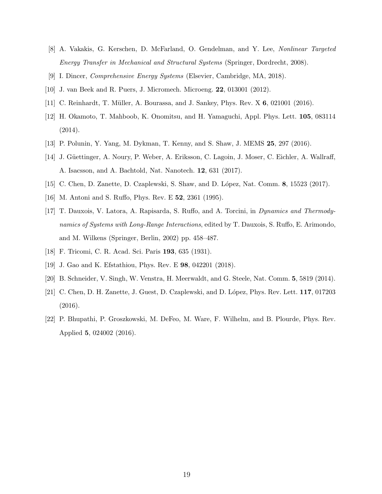- <span id="page-18-0"></span>[8] A. Vakakis, G. Kerschen, D. McFarland, O. Gendelman, and Y. Lee, Nonlinear Targeted Energy Transfer in Mechanical and Structural Systems (Springer, Dordrecht, 2008).
- <span id="page-18-2"></span><span id="page-18-1"></span>[9] I. Dincer, Comprehensive Energy Systems (Elsevier, Cambridge, MA, 2018).
- <span id="page-18-3"></span>[10] J. van Beek and R. Puers, J. Micromech. Microeng. 22, 013001 (2012).
- <span id="page-18-4"></span>[11] C. Reinhardt, T. M¨uller, A. Bourassa, and J. Sankey, Phys. Rev. X 6, 021001 (2016).
- [12] H. Okamoto, T. Mahboob, K. Onomitsu, and H. Yamaguchi, Appl. Phys. Lett. 105, 083114 (2014).
- <span id="page-18-5"></span>[13] P. Polunin, Y. Yang, M. Dykman, T. Kenny, and S. Shaw, J. MEMS 25, 297 (2016).
- [14] J. Güettinger, A. Noury, P. Weber, A. Eriksson, C. Lagoin, J. Moser, C. Eichler, A. Wallraff, A. Isacsson, and A. Bachtold, Nat. Nanotech. 12, 631 (2017).
- <span id="page-18-7"></span><span id="page-18-6"></span>[15] C. Chen, D. Zanette, D. Czaplewski, S. Shaw, and D. L´opez, Nat. Comm. 8, 15523 (2017).
- <span id="page-18-8"></span>[16] M. Antoni and S. Ruffo, Phys. Rev. E 52, 2361 (1995).
- [17] T. Dauxois, V. Latora, A. Rapisarda, S. Ruffo, and A. Torcini, in Dynamics and Thermodynamics of Systems with Long-Range Interactions, edited by T. Dauxois, S. Ruffo, E. Arimondo, and M. Wilkens (Springer, Berlin, 2002) pp. 458–487.
- <span id="page-18-10"></span><span id="page-18-9"></span>[18] F. Tricomi, C. R. Acad. Sci. Paris 193, 635 (1931).
- [19] J. Gao and K. Efstathiou, Phys. Rev. E 98, 042201 (2018).
- <span id="page-18-11"></span>[20] B. Schneider, V. Singh, W. Venstra, H. Meerwaldt, and G. Steele, Nat. Comm. 5, 5819 (2014).
- [21] C. Chen, D. H. Zanette, J. Guest, D. Czaplewski, and D. López, Phys. Rev. Lett. 117, 017203 (2016).
- <span id="page-18-12"></span>[22] P. Bhupathi, P. Groszkowski, M. DeFeo, M. Ware, F. Wilhelm, and B. Plourde, Phys. Rev. Applied 5, 024002 (2016).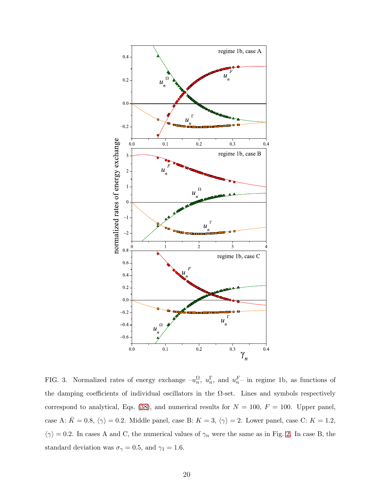

<span id="page-19-0"></span>FIG. 3. Normalized rates of energy exchange  $-u_n^{\Omega}$  $_n^{\Omega}, u_n^{\Gamma}$  $_n^{\Gamma}$ , and  $u_n^F$  in regime 1b, as functions of the damping coefficients of individual oscillators in the  $\Omega$ -set. Lines and symbols respectively correspond to analytical, Eqs. [\(38\)](#page-14-0), and numerical results for  $N = 100$ ,  $F = 100$ . Upper panel, case A:  $\bar{K} = 0.8, \langle \gamma \rangle = 0.2$ . Middle panel, case B:  $K = 3, \langle \gamma \rangle = 2$ . Lower panel, case C:  $K = 1.2$ ,  $\langle \gamma \rangle = 0.2$ . In cases A and C, the numerical values of  $\gamma_n$  were the same as in Fig. [2.](#page-13-0) In case B, the standard deviation was  $\sigma_{\gamma} = 0.5$ , and  $\gamma_1 = 1.6$ .